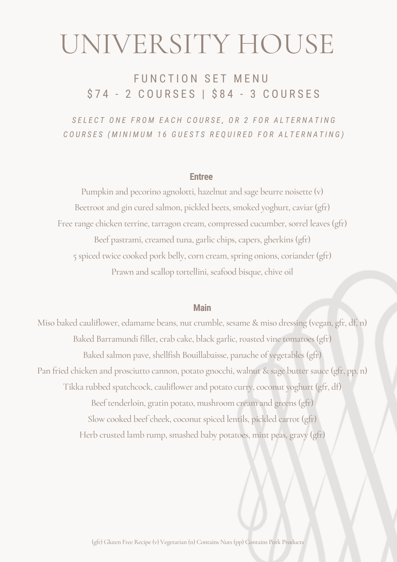# UNIVERSITY HOUSE

# FUNCTION SET MENU \$74 - 2 COURSES | \$84 - 3 COURSES

SELECT ONE FROM EACH COURSE, OR 2 FOR ALTERNATING COURSES (MINIMUM 16 GUESTS REQUIRED FOR ALTERNATING)

#### **Entree**

Pumpkin and pecorino agnolotti, hazelnut and sage beurre noisette (v) Beetroot and gin cured salmon, pickled beets, smoked yoghurt, caviar (gfr) Free range chicken terrine, tarragon cream, compressed cucumber, sorrel leaves (gfr) Beef pastrami, creamed tuna, garlic chips, capers, gherkins (gfr) 5 spiced twice cooked pork belly, corn cream, spring onions, coriander(gfr) Prawn and scallop tortellini, seafood bisque, chive oil

#### **Main**

Miso baked cauliflower, edamame beans, nut crumble, sesame & miso dressing (vegan, gfr, df, n) Baked Barramundi fillet, crab cake, black garlic, roasted vine tomatoes (gfr) Baked salmon pave, shellfish Bouillabaisse, panache of vegetables (gfr) Pan fried chicken and prosciutto cannon, potato gnocchi, walnut & sage butter sauce (gfr, pp, n) Tikka rubbed spatchcock, cauliflower and potato curry, coconut yoghurt (gfr, df) Beef tenderloin, gratin potato, mushroom cream and greens (gfr) Slow cooked beef cheek, coconut spiced lentils, pickled carrot (gfr) Herb crusted lamb rump, smashed baby potatoes, mint peas, gravy (gfr)